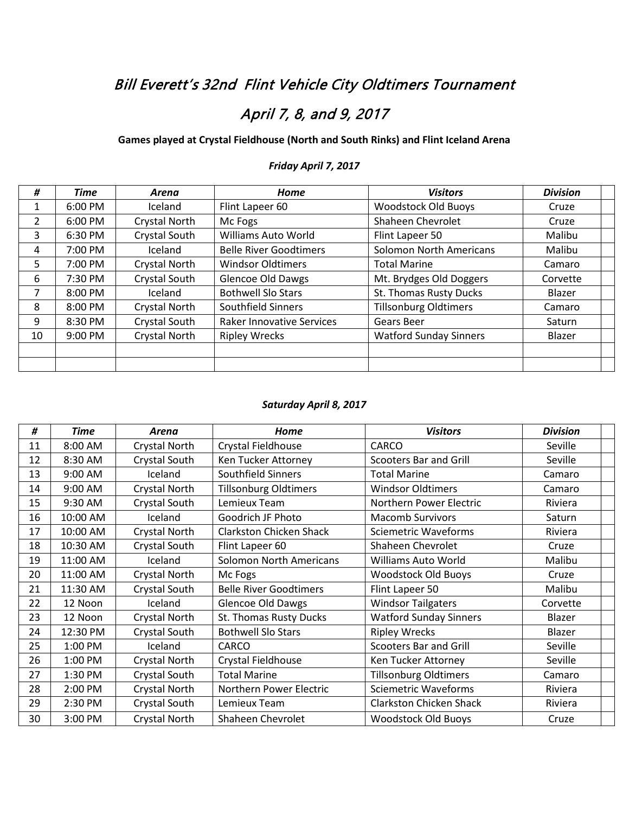## Bill Everett's 32nd Flint Vehicle City Oldtimers Tournament

# April 7, 8, and 9, 2017

### **Games played at Crystal Fieldhouse (North and South Rinks) and Flint Iceland Arena**

| #              | <b>Time</b> | Arena         | Home                             | <b>Visitors</b>                | <b>Division</b> |
|----------------|-------------|---------------|----------------------------------|--------------------------------|-----------------|
| $\mathbf{1}$   | 6:00 PM     | Iceland       | Flint Lapeer 60                  | <b>Woodstock Old Buoys</b>     | Cruze           |
| $\overline{2}$ | 6:00 PM     | Crystal North | Mc Fogs                          | Shaheen Chevrolet              | Cruze           |
| 3              | 6:30 PM     | Crystal South | Williams Auto World              | Flint Lapeer 50                | Malibu          |
| 4              | 7:00 PM     | Iceland       | <b>Belle River Goodtimers</b>    | <b>Solomon North Americans</b> | Malibu          |
| 5.             | 7:00 PM     | Crystal North | <b>Windsor Oldtimers</b>         | <b>Total Marine</b>            | Camaro          |
| 6              | 7:30 PM     | Crystal South | <b>Glencoe Old Dawgs</b>         | Mt. Brydges Old Doggers        | Corvette        |
| 7              | 8:00 PM     | Iceland       | <b>Bothwell Slo Stars</b>        | St. Thomas Rusty Ducks         | Blazer          |
| 8              | 8:00 PM     | Crystal North | <b>Southfield Sinners</b>        | <b>Tillsonburg Oldtimers</b>   | Camaro          |
| 9              | 8:30 PM     | Crystal South | <b>Raker Innovative Services</b> | Gears Beer                     | Saturn          |
| 10             | 9:00 PM     | Crystal North | <b>Ripley Wrecks</b>             | <b>Watford Sunday Sinners</b>  | Blazer          |
|                |             |               |                                  |                                |                 |
|                |             |               |                                  |                                |                 |

#### *Friday April 7, 2017*

#### *Saturday April 8, 2017*

| #  | <b>Time</b> | <b>Arena</b>         | Home                           | <b>Visitors</b>                | <b>Division</b> |
|----|-------------|----------------------|--------------------------------|--------------------------------|-----------------|
| 11 | 8:00 AM     | <b>Crystal North</b> | Crystal Fieldhouse             | <b>CARCO</b>                   | Seville         |
| 12 | 8:30 AM     | Crystal South        | Ken Tucker Attorney            | <b>Scooters Bar and Grill</b>  | Seville         |
| 13 | 9:00 AM     | Iceland              | Southfield Sinners             | <b>Total Marine</b>            | Camaro          |
| 14 | 9:00 AM     | Crystal North        | <b>Tillsonburg Oldtimers</b>   | <b>Windsor Oldtimers</b>       | Camaro          |
| 15 | 9:30 AM     | Crystal South        | Lemieux Team                   | Northern Power Electric        | Riviera         |
| 16 | 10:00 AM    | Iceland              | Goodrich JF Photo              | <b>Macomb Survivors</b>        | Saturn          |
| 17 | 10:00 AM    | <b>Crystal North</b> | <b>Clarkston Chicken Shack</b> | <b>Sciemetric Waveforms</b>    | Riviera         |
| 18 | 10:30 AM    | Crystal South        | Flint Lapeer 60                | Shaheen Chevrolet              | Cruze           |
| 19 | 11:00 AM    | Iceland              | <b>Solomon North Americans</b> | <b>Williams Auto World</b>     | Malibu          |
| 20 | 11:00 AM    | <b>Crystal North</b> | Mc Fogs                        | <b>Woodstock Old Buoys</b>     | Cruze           |
| 21 | 11:30 AM    | Crystal South        | <b>Belle River Goodtimers</b>  | Flint Lapeer 50                | Malibu          |
| 22 | 12 Noon     | Iceland              | <b>Glencoe Old Dawgs</b>       | <b>Windsor Tailgaters</b>      | Corvette        |
| 23 | 12 Noon     | Crystal North        | St. Thomas Rusty Ducks         | <b>Watford Sunday Sinners</b>  | Blazer          |
| 24 | 12:30 PM    | Crystal South        | <b>Bothwell Slo Stars</b>      | <b>Ripley Wrecks</b>           | Blazer          |
| 25 | 1:00 PM     | Iceland              | CARCO                          | <b>Scooters Bar and Grill</b>  | Seville         |
| 26 | 1:00 PM     | <b>Crystal North</b> | Crystal Fieldhouse             | Ken Tucker Attorney            | Seville         |
| 27 | 1:30 PM     | Crystal South        | <b>Total Marine</b>            | <b>Tillsonburg Oldtimers</b>   | Camaro          |
| 28 | 2:00 PM     | Crystal North        | Northern Power Electric        | <b>Sciemetric Waveforms</b>    | Riviera         |
| 29 | 2:30 PM     | Crystal South        | Lemieux Team                   | <b>Clarkston Chicken Shack</b> | Riviera         |
| 30 | 3:00 PM     | <b>Crystal North</b> | Shaheen Chevrolet              | <b>Woodstock Old Buoys</b>     | Cruze           |